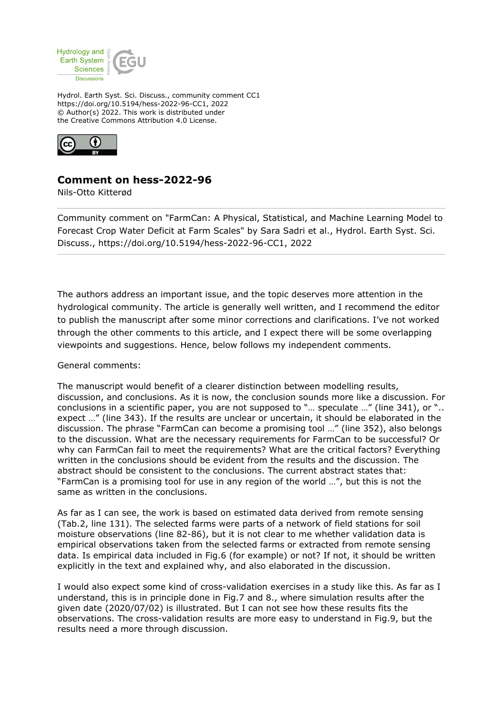

Hydrol. Earth Syst. Sci. Discuss., community comment CC1 https://doi.org/10.5194/hess-2022-96-CC1, 2022 © Author(s) 2022. This work is distributed under the Creative Commons Attribution 4.0 License.



## **Comment on hess-2022-96**

Nils-Otto Kitterød

Community comment on "FarmCan: A Physical, Statistical, and Machine Learning Model to Forecast Crop Water Deficit at Farm Scales" by Sara Sadri et al., Hydrol. Earth Syst. Sci. Discuss., https://doi.org/10.5194/hess-2022-96-CC1, 2022

The authors address an important issue, and the topic deserves more attention in the hydrological community. The article is generally well written, and I recommend the editor to publish the manuscript after some minor corrections and clarifications. I've not worked through the other comments to this article, and I expect there will be some overlapping viewpoints and suggestions. Hence, below follows my independent comments.

## General comments:

The manuscript would benefit of a clearer distinction between modelling results, discussion, and conclusions. As it is now, the conclusion sounds more like a discussion. For conclusions in a scientific paper, you are not supposed to "... speculate ..." (line 341), or ".. expect …" (line 343). If the results are unclear or uncertain, it should be elaborated in the discussion. The phrase "FarmCan can become a promising tool …" (line 352), also belongs to the discussion. What are the necessary requirements for FarmCan to be successful? Or why can FarmCan fail to meet the requirements? What are the critical factors? Everything written in the conclusions should be evident from the results and the discussion. The abstract should be consistent to the conclusions. The current abstract states that: "FarmCan is a promising tool for use in any region of the world …", but this is not the same as written in the conclusions.

As far as I can see, the work is based on estimated data derived from remote sensing (Tab.2, line 131). The selected farms were parts of a network of field stations for soil moisture observations (line 82-86), but it is not clear to me whether validation data is empirical observations taken from the selected farms or extracted from remote sensing data. Is empirical data included in Fig.6 (for example) or not? If not, it should be written explicitly in the text and explained why, and also elaborated in the discussion.

I would also expect some kind of cross-validation exercises in a study like this. As far as I understand, this is in principle done in Fig.7 and 8., where simulation results after the given date (2020/07/02) is illustrated. But I can not see how these results fits the observations. The cross-validation results are more easy to understand in Fig.9, but the results need a more through discussion.